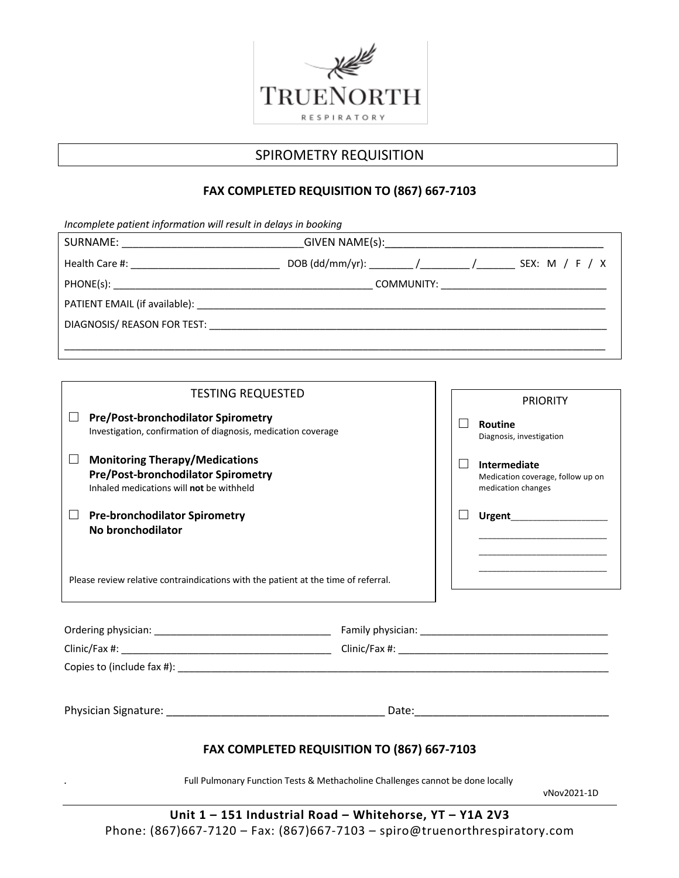

# SPIROMETRY REQUISITION

# **FAX COMPLETED REQUISITION TO (867) 667-7103**

| Incomplete patient information will result in delays in booking |                                                                   |  |  |
|-----------------------------------------------------------------|-------------------------------------------------------------------|--|--|
|                                                                 |                                                                   |  |  |
|                                                                 | DOB (dd/mm/yr): _________ /__________ /___________ SEX: M / F / X |  |  |
|                                                                 |                                                                   |  |  |
|                                                                 |                                                                   |  |  |
|                                                                 |                                                                   |  |  |
|                                                                 |                                                                   |  |  |

| <b>TESTING REQUESTED</b>                                                                                                                                                                                   |  |  |                                                                                           |  |
|------------------------------------------------------------------------------------------------------------------------------------------------------------------------------------------------------------|--|--|-------------------------------------------------------------------------------------------|--|
|                                                                                                                                                                                                            |  |  | <b>PRIORITY</b>                                                                           |  |
| <b>Pre/Post-bronchodilator Spirometry</b><br>⊔<br>Investigation, confirmation of diagnosis, medication coverage                                                                                            |  |  | Routine<br>Diagnosis, investigation                                                       |  |
| $\Box$<br><b>Monitoring Therapy/Medications</b><br>Pre/Post-bronchodilator Spirometry<br>Inhaled medications will not be withheld                                                                          |  |  | Intermediate<br>Medication coverage, follow up on<br>medication changes                   |  |
| <b>Pre-bronchodilator Spirometry</b><br>ப<br>No bronchodilator                                                                                                                                             |  |  | the control of the control of the control of the control of the control of the control of |  |
| <u> 1989 - Johann John Stone, markin amerikan bisa di sebagai pertama dan bagian dan bisa di sebagai pertama dan</u><br>Please review relative contraindications with the patient at the time of referral. |  |  |                                                                                           |  |
|                                                                                                                                                                                                            |  |  |                                                                                           |  |
|                                                                                                                                                                                                            |  |  |                                                                                           |  |
|                                                                                                                                                                                                            |  |  |                                                                                           |  |
|                                                                                                                                                                                                            |  |  |                                                                                           |  |
| FAX COMPLETED REQUISITION TO (867) 667-7103                                                                                                                                                                |  |  |                                                                                           |  |

*.* Full Pulmonary Function Tests & Methacholine Challenges cannot be done locally

vNov2021-1D